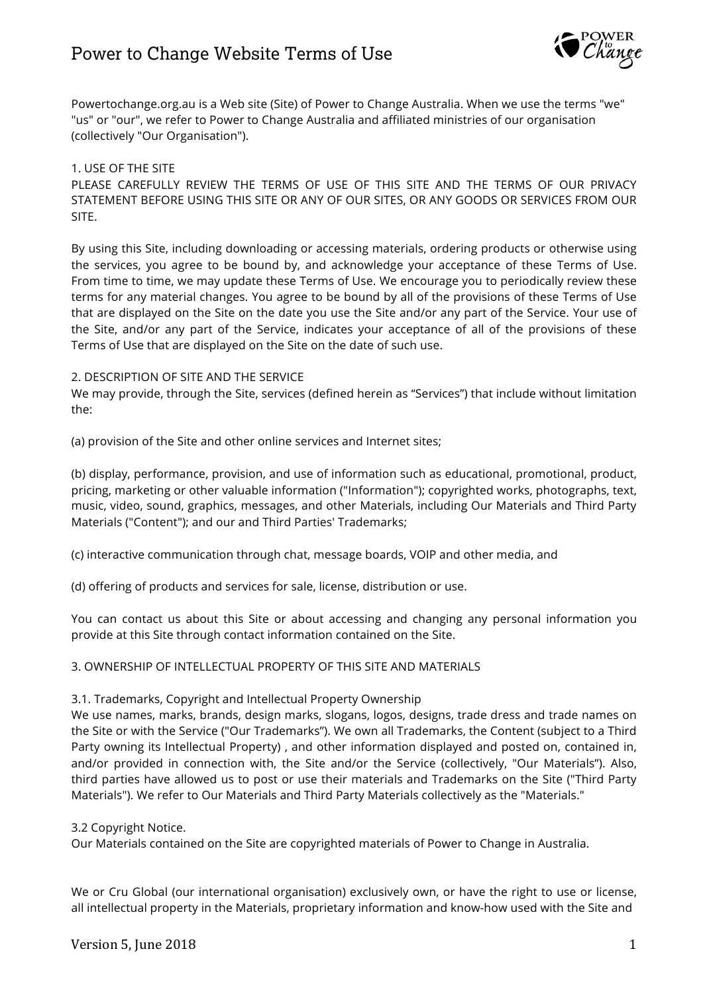

Powertochange.org.au is a Web site (Site) of Power to Change Australia. When we use the terms "we" "us" or "our", we refer to Power to Change Australia and affiliated ministries of our organisation (collectively "Our Organisation").

## 1. USE OF THE SITE

PLEASE CAREFULLY REVIEW THE TERMS OF USE OF THIS SITE AND THE TERMS OF OUR PRIVACY STATEMENT BEFORE USING THIS SITE OR ANY OF OUR SITES, OR ANY GOODS OR SERVICES FROM OUR SITE.

By using this Site, including downloading or accessing materials, ordering products or otherwise using the services, you agree to be bound by, and acknowledge your acceptance of these Terms of Use. From time to time, we may update these Terms of Use. We encourage you to periodically review these terms for any material changes. You agree to be bound by all of the provisions of these Terms of Use that are displayed on the Site on the date you use the Site and/or any part of the Service. Your use of the Site, and/or any part of the Service, indicates your acceptance of all of the provisions of these Terms of Use that are displayed on the Site on the date of such use.

## 2. DESCRIPTION OF SITE AND THE SERVICE

We may provide, through the Site, services (defined herein as "Services") that include without limitation the:

(a) provision of the Site and other online services and Internet sites;

(b) display, performance, provision, and use of information such as educational, promotional, product, pricing, marketing or other valuable information ("Information"); copyrighted works, photographs, text, music, video, sound, graphics, messages, and other Materials, including Our Materials and Third Party Materials ("Content"); and our and Third Parties' Trademarks;

(c) interactive communication through chat, message boards, VOIP and other media, and

(d) offering of products and services for sale, license, distribution or use.

You can contact us about this Site or about accessing and changing any personal information you provide at this Site through contact information contained on the Site.

## 3. OWNERSHIP OF INTELLECTUAL PROPERTY OF THIS SITE AND MATERIALS

## 3.1. Trademarks, Copyright and Intellectual Property Ownership

We use names, marks, brands, design marks, slogans, logos, designs, trade dress and trade names on the Site or with the Service ("Our Trademarks"). We own all Trademarks, the Content (subject to a Third Party owning its Intellectual Property) , and other information displayed and posted on, contained in, and/or provided in connection with, the Site and/or the Service (collectively, "Our Materials"). Also, third parties have allowed us to post or use their materials and Trademarks on the Site ("Third Party Materials"). We refer to Our Materials and Third Party Materials collectively as the "Materials."

## 3.2 Copyright Notice.

Our Materials contained on the Site are copyrighted materials of Power to Change in Australia.

We or Cru Global (our international organisation) exclusively own, or have the right to use or license, all intellectual property in the Materials, proprietary information and know-how used with the Site and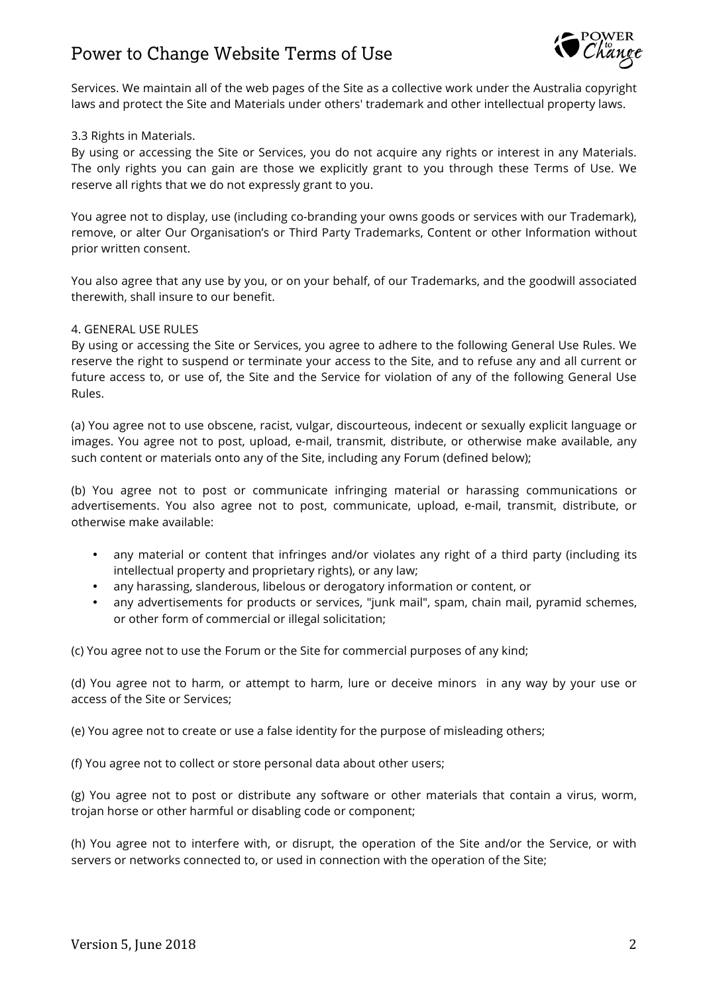

Services. We maintain all of the web pages of the Site as a collective work under the Australia copyright laws and protect the Site and Materials under others' trademark and other intellectual property laws.

#### 3.3 Rights in Materials.

By using or accessing the Site or Services, you do not acquire any rights or interest in any Materials. The only rights you can gain are those we explicitly grant to you through these Terms of Use. We reserve all rights that we do not expressly grant to you.

You agree not to display, use (including co-branding your owns goods or services with our Trademark), remove, or alter Our Organisation's or Third Party Trademarks, Content or other Information without prior written consent.

You also agree that any use by you, or on your behalf, of our Trademarks, and the goodwill associated therewith, shall insure to our benefit.

#### 4. GENERAL USE RULES

By using or accessing the Site or Services, you agree to adhere to the following General Use Rules. We reserve the right to suspend or terminate your access to the Site, and to refuse any and all current or future access to, or use of, the Site and the Service for violation of any of the following General Use Rules.

(a) You agree not to use obscene, racist, vulgar, discourteous, indecent or sexually explicit language or images. You agree not to post, upload, e-mail, transmit, distribute, or otherwise make available, any such content or materials onto any of the Site, including any Forum (defined below);

(b) You agree not to post or communicate infringing material or harassing communications or advertisements. You also agree not to post, communicate, upload, e-mail, transmit, distribute, or otherwise make available:

- any material or content that infringes and/or violates any right of a third party (including its intellectual property and proprietary rights), or any law;
- any harassing, slanderous, libelous or derogatory information or content, or
- any advertisements for products or services, "junk mail", spam, chain mail, pyramid schemes, or other form of commercial or illegal solicitation;

(c) You agree not to use the Forum or the Site for commercial purposes of any kind;

(d) You agree not to harm, or attempt to harm, lure or deceive minors in any way by your use or access of the Site or Services;

(e) You agree not to create or use a false identity for the purpose of misleading others;

(f) You agree not to collect or store personal data about other users;

(g) You agree not to post or distribute any software or other materials that contain a virus, worm, trojan horse or other harmful or disabling code or component;

(h) You agree not to interfere with, or disrupt, the operation of the Site and/or the Service, or with servers or networks connected to, or used in connection with the operation of the Site;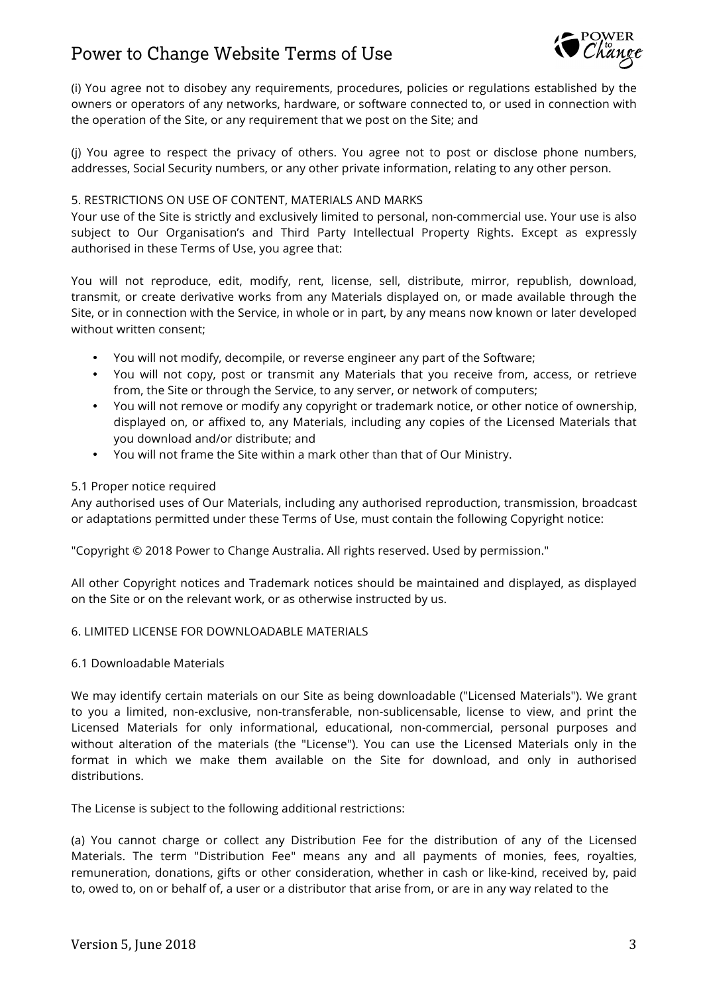

(i) You agree not to disobey any requirements, procedures, policies or regulations established by the owners or operators of any networks, hardware, or software connected to, or used in connection with the operation of the Site, or any requirement that we post on the Site; and

(j) You agree to respect the privacy of others. You agree not to post or disclose phone numbers, addresses, Social Security numbers, or any other private information, relating to any other person.

## 5. RESTRICTIONS ON USE OF CONTENT, MATERIALS AND MARKS

Your use of the Site is strictly and exclusively limited to personal, non-commercial use. Your use is also subject to Our Organisation's and Third Party Intellectual Property Rights. Except as expressly authorised in these Terms of Use, you agree that:

You will not reproduce, edit, modify, rent, license, sell, distribute, mirror, republish, download, transmit, or create derivative works from any Materials displayed on, or made available through the Site, or in connection with the Service, in whole or in part, by any means now known or later developed without written consent;

- You will not modify, decompile, or reverse engineer any part of the Software;
- You will not copy, post or transmit any Materials that you receive from, access, or retrieve from, the Site or through the Service, to any server, or network of computers;
- You will not remove or modify any copyright or trademark notice, or other notice of ownership, displayed on, or affixed to, any Materials, including any copies of the Licensed Materials that you download and/or distribute; and
- You will not frame the Site within a mark other than that of Our Ministry.

## 5.1 Proper notice required

Any authorised uses of Our Materials, including any authorised reproduction, transmission, broadcast or adaptations permitted under these Terms of Use, must contain the following Copyright notice:

"Copyright © 2018 Power to Change Australia. All rights reserved. Used by permission."

All other Copyright notices and Trademark notices should be maintained and displayed, as displayed on the Site or on the relevant work, or as otherwise instructed by us.

## 6. LIMITED LICENSE FOR DOWNLOADABLE MATERIALS

## 6.1 Downloadable Materials

We may identify certain materials on our Site as being downloadable ("Licensed Materials"). We grant to you a limited, non-exclusive, non-transferable, non-sublicensable, license to view, and print the Licensed Materials for only informational, educational, non-commercial, personal purposes and without alteration of the materials (the "License"). You can use the Licensed Materials only in the format in which we make them available on the Site for download, and only in authorised distributions.

The License is subject to the following additional restrictions:

(a) You cannot charge or collect any Distribution Fee for the distribution of any of the Licensed Materials. The term "Distribution Fee" means any and all payments of monies, fees, royalties, remuneration, donations, gifts or other consideration, whether in cash or like-kind, received by, paid to, owed to, on or behalf of, a user or a distributor that arise from, or are in any way related to the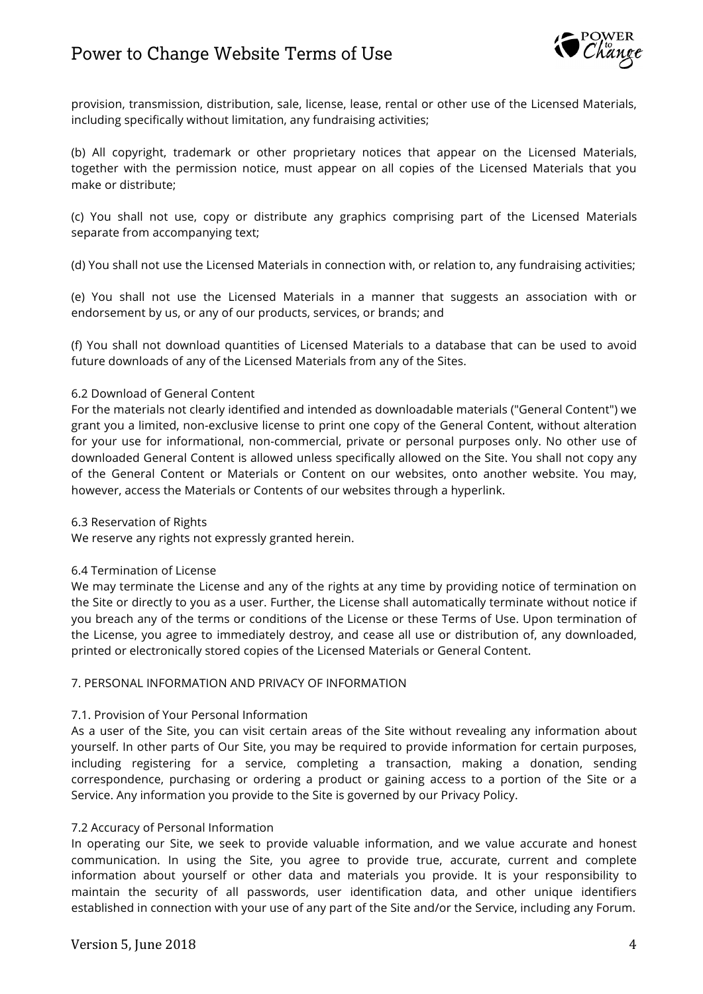

provision, transmission, distribution, sale, license, lease, rental or other use of the Licensed Materials, including specifically without limitation, any fundraising activities;

(b) All copyright, trademark or other proprietary notices that appear on the Licensed Materials, together with the permission notice, must appear on all copies of the Licensed Materials that you make or distribute;

(c) You shall not use, copy or distribute any graphics comprising part of the Licensed Materials separate from accompanying text;

(d) You shall not use the Licensed Materials in connection with, or relation to, any fundraising activities;

(e) You shall not use the Licensed Materials in a manner that suggests an association with or endorsement by us, or any of our products, services, or brands; and

(f) You shall not download quantities of Licensed Materials to a database that can be used to avoid future downloads of any of the Licensed Materials from any of the Sites.

## 6.2 Download of General Content

For the materials not clearly identified and intended as downloadable materials ("General Content") we grant you a limited, non-exclusive license to print one copy of the General Content, without alteration for your use for informational, non-commercial, private or personal purposes only. No other use of downloaded General Content is allowed unless specifically allowed on the Site. You shall not copy any of the General Content or Materials or Content on our websites, onto another website. You may, however, access the Materials or Contents of our websites through a hyperlink.

## 6.3 Reservation of Rights

We reserve any rights not expressly granted herein.

## 6.4 Termination of License

We may terminate the License and any of the rights at any time by providing notice of termination on the Site or directly to you as a user. Further, the License shall automatically terminate without notice if you breach any of the terms or conditions of the License or these Terms of Use. Upon termination of the License, you agree to immediately destroy, and cease all use or distribution of, any downloaded, printed or electronically stored copies of the Licensed Materials or General Content.

## 7. PERSONAL INFORMATION AND PRIVACY OF INFORMATION

## 7.1. Provision of Your Personal Information

As a user of the Site, you can visit certain areas of the Site without revealing any information about yourself. In other parts of Our Site, you may be required to provide information for certain purposes, including registering for a service, completing a transaction, making a donation, sending correspondence, purchasing or ordering a product or gaining access to a portion of the Site or a Service. Any information you provide to the Site is governed by our Privacy Policy.

## 7.2 Accuracy of Personal Information

In operating our Site, we seek to provide valuable information, and we value accurate and honest communication. In using the Site, you agree to provide true, accurate, current and complete information about yourself or other data and materials you provide. It is your responsibility to maintain the security of all passwords, user identification data, and other unique identifiers established in connection with your use of any part of the Site and/or the Service, including any Forum.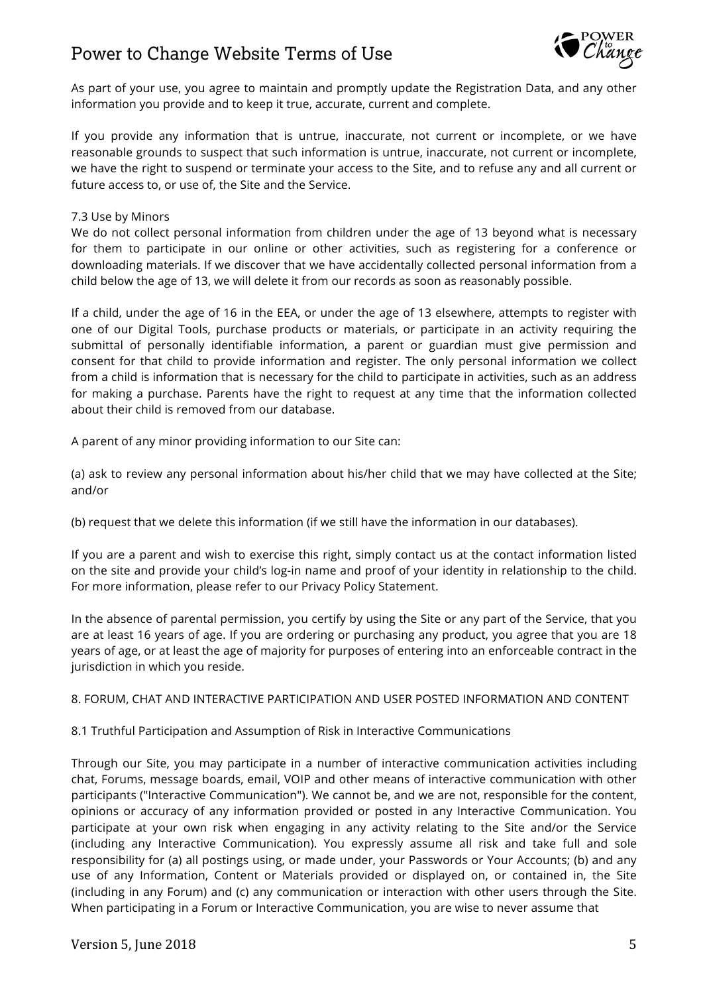

As part of your use, you agree to maintain and promptly update the Registration Data, and any other information you provide and to keep it true, accurate, current and complete.

If you provide any information that is untrue, inaccurate, not current or incomplete, or we have reasonable grounds to suspect that such information is untrue, inaccurate, not current or incomplete, we have the right to suspend or terminate your access to the Site, and to refuse any and all current or future access to, or use of, the Site and the Service.

#### 7.3 Use by Minors

We do not collect personal information from children under the age of 13 beyond what is necessary for them to participate in our online or other activities, such as registering for a conference or downloading materials. If we discover that we have accidentally collected personal information from a child below the age of 13, we will delete it from our records as soon as reasonably possible.

If a child, under the age of 16 in the EEA, or under the age of 13 elsewhere, attempts to register with one of our Digital Tools, purchase products or materials, or participate in an activity requiring the submittal of personally identifiable information, a parent or guardian must give permission and consent for that child to provide information and register. The only personal information we collect from a child is information that is necessary for the child to participate in activities, such as an address for making a purchase. Parents have the right to request at any time that the information collected about their child is removed from our database.

A parent of any minor providing information to our Site can:

(a) ask to review any personal information about his/her child that we may have collected at the Site; and/or

(b) request that we delete this information (if we still have the information in our databases).

If you are a parent and wish to exercise this right, simply contact us at the contact information listed on the site and provide your child's log-in name and proof of your identity in relationship to the child. For more information, please refer to our Privacy Policy Statement.

In the absence of parental permission, you certify by using the Site or any part of the Service, that you are at least 16 years of age. If you are ordering or purchasing any product, you agree that you are 18 years of age, or at least the age of majority for purposes of entering into an enforceable contract in the jurisdiction in which you reside.

8. FORUM, CHAT AND INTERACTIVE PARTICIPATION AND USER POSTED INFORMATION AND CONTENT

## 8.1 Truthful Participation and Assumption of Risk in Interactive Communications

Through our Site, you may participate in a number of interactive communication activities including chat, Forums, message boards, email, VOIP and other means of interactive communication with other participants ("Interactive Communication"). We cannot be, and we are not, responsible for the content, opinions or accuracy of any information provided or posted in any Interactive Communication. You participate at your own risk when engaging in any activity relating to the Site and/or the Service (including any Interactive Communication). You expressly assume all risk and take full and sole responsibility for (a) all postings using, or made under, your Passwords or Your Accounts; (b) and any use of any Information, Content or Materials provided or displayed on, or contained in, the Site (including in any Forum) and (c) any communication or interaction with other users through the Site. When participating in a Forum or Interactive Communication, you are wise to never assume that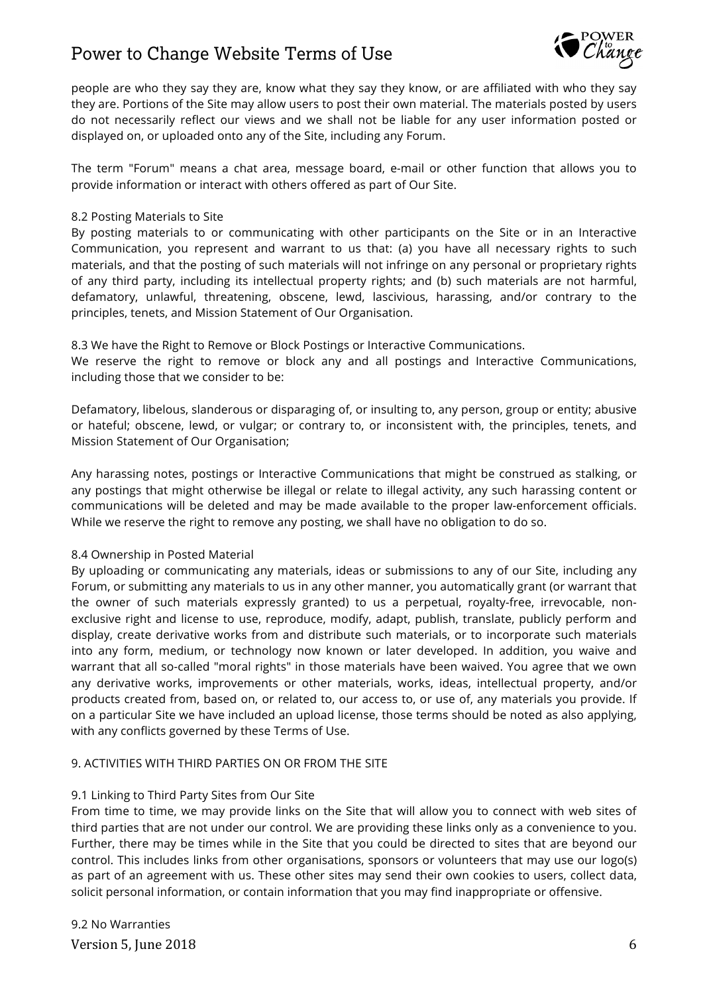

people are who they say they are, know what they say they know, or are affiliated with who they say they are. Portions of the Site may allow users to post their own material. The materials posted by users do not necessarily reflect our views and we shall not be liable for any user information posted or displayed on, or uploaded onto any of the Site, including any Forum.

The term "Forum" means a chat area, message board, e-mail or other function that allows you to provide information or interact with others offered as part of Our Site.

## 8.2 Posting Materials to Site

By posting materials to or communicating with other participants on the Site or in an Interactive Communication, you represent and warrant to us that: (a) you have all necessary rights to such materials, and that the posting of such materials will not infringe on any personal or proprietary rights of any third party, including its intellectual property rights; and (b) such materials are not harmful, defamatory, unlawful, threatening, obscene, lewd, lascivious, harassing, and/or contrary to the principles, tenets, and Mission Statement of Our Organisation.

8.3 We have the Right to Remove or Block Postings or Interactive Communications.

We reserve the right to remove or block any and all postings and Interactive Communications, including those that we consider to be:

Defamatory, libelous, slanderous or disparaging of, or insulting to, any person, group or entity; abusive or hateful; obscene, lewd, or vulgar; or contrary to, or inconsistent with, the principles, tenets, and Mission Statement of Our Organisation;

Any harassing notes, postings or Interactive Communications that might be construed as stalking, or any postings that might otherwise be illegal or relate to illegal activity, any such harassing content or communications will be deleted and may be made available to the proper law-enforcement officials. While we reserve the right to remove any posting, we shall have no obligation to do so.

## 8.4 Ownership in Posted Material

By uploading or communicating any materials, ideas or submissions to any of our Site, including any Forum, or submitting any materials to us in any other manner, you automatically grant (or warrant that the owner of such materials expressly granted) to us a perpetual, royalty-free, irrevocable, nonexclusive right and license to use, reproduce, modify, adapt, publish, translate, publicly perform and display, create derivative works from and distribute such materials, or to incorporate such materials into any form, medium, or technology now known or later developed. In addition, you waive and warrant that all so-called "moral rights" in those materials have been waived. You agree that we own any derivative works, improvements or other materials, works, ideas, intellectual property, and/or products created from, based on, or related to, our access to, or use of, any materials you provide. If on a particular Site we have included an upload license, those terms should be noted as also applying, with any conflicts governed by these Terms of Use.

## 9. ACTIVITIES WITH THIRD PARTIES ON OR FROM THE SITE

## 9.1 Linking to Third Party Sites from Our Site

From time to time, we may provide links on the Site that will allow you to connect with web sites of third parties that are not under our control. We are providing these links only as a convenience to you. Further, there may be times while in the Site that you could be directed to sites that are beyond our control. This includes links from other organisations, sponsors or volunteers that may use our logo(s) as part of an agreement with us. These other sites may send their own cookies to users, collect data, solicit personal information, or contain information that you may find inappropriate or offensive.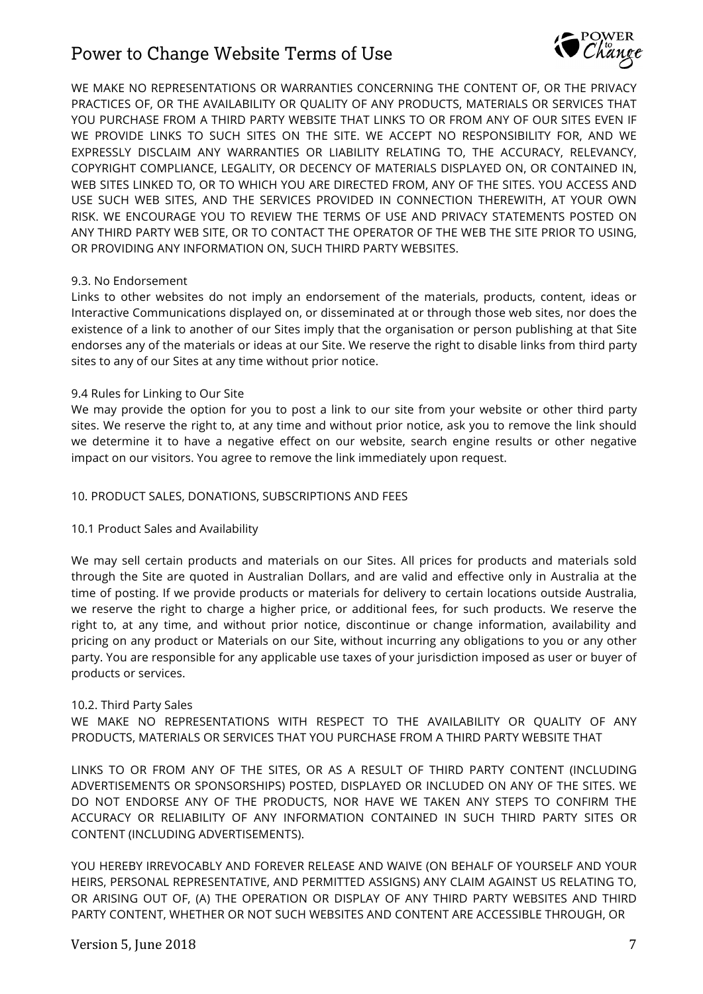

WE MAKE NO REPRESENTATIONS OR WARRANTIES CONCERNING THE CONTENT OF, OR THE PRIVACY PRACTICES OF, OR THE AVAILABILITY OR QUALITY OF ANY PRODUCTS, MATERIALS OR SERVICES THAT YOU PURCHASE FROM A THIRD PARTY WEBSITE THAT LINKS TO OR FROM ANY OF OUR SITES EVEN IF WE PROVIDE LINKS TO SUCH SITES ON THE SITE. WE ACCEPT NO RESPONSIBILITY FOR, AND WE EXPRESSLY DISCLAIM ANY WARRANTIES OR LIABILITY RELATING TO, THE ACCURACY, RELEVANCY, COPYRIGHT COMPLIANCE, LEGALITY, OR DECENCY OF MATERIALS DISPLAYED ON, OR CONTAINED IN, WEB SITES LINKED TO, OR TO WHICH YOU ARE DIRECTED FROM, ANY OF THE SITES. YOU ACCESS AND USE SUCH WEB SITES, AND THE SERVICES PROVIDED IN CONNECTION THEREWITH, AT YOUR OWN RISK. WE ENCOURAGE YOU TO REVIEW THE TERMS OF USE AND PRIVACY STATEMENTS POSTED ON ANY THIRD PARTY WEB SITE, OR TO CONTACT THE OPERATOR OF THE WEB THE SITE PRIOR TO USING, OR PROVIDING ANY INFORMATION ON, SUCH THIRD PARTY WEBSITES.

## 9.3. No Endorsement

Links to other websites do not imply an endorsement of the materials, products, content, ideas or Interactive Communications displayed on, or disseminated at or through those web sites, nor does the existence of a link to another of our Sites imply that the organisation or person publishing at that Site endorses any of the materials or ideas at our Site. We reserve the right to disable links from third party sites to any of our Sites at any time without prior notice.

## 9.4 Rules for Linking to Our Site

We may provide the option for you to post a link to our site from your website or other third party sites. We reserve the right to, at any time and without prior notice, ask you to remove the link should we determine it to have a negative effect on our website, search engine results or other negative impact on our visitors. You agree to remove the link immediately upon request.

## 10. PRODUCT SALES, DONATIONS, SUBSCRIPTIONS AND FEES

## 10.1 Product Sales and Availability

We may sell certain products and materials on our Sites. All prices for products and materials sold through the Site are quoted in Australian Dollars, and are valid and effective only in Australia at the time of posting. If we provide products or materials for delivery to certain locations outside Australia, we reserve the right to charge a higher price, or additional fees, for such products. We reserve the right to, at any time, and without prior notice, discontinue or change information, availability and pricing on any product or Materials on our Site, without incurring any obligations to you or any other party. You are responsible for any applicable use taxes of your jurisdiction imposed as user or buyer of products or services.

## 10.2. Third Party Sales

WE MAKE NO REPRESENTATIONS WITH RESPECT TO THE AVAILABILITY OR QUALITY OF ANY PRODUCTS, MATERIALS OR SERVICES THAT YOU PURCHASE FROM A THIRD PARTY WEBSITE THAT

LINKS TO OR FROM ANY OF THE SITES, OR AS A RESULT OF THIRD PARTY CONTENT (INCLUDING ADVERTISEMENTS OR SPONSORSHIPS) POSTED, DISPLAYED OR INCLUDED ON ANY OF THE SITES. WE DO NOT ENDORSE ANY OF THE PRODUCTS, NOR HAVE WE TAKEN ANY STEPS TO CONFIRM THE ACCURACY OR RELIABILITY OF ANY INFORMATION CONTAINED IN SUCH THIRD PARTY SITES OR CONTENT (INCLUDING ADVERTISEMENTS).

YOU HEREBY IRREVOCABLY AND FOREVER RELEASE AND WAIVE (ON BEHALF OF YOURSELF AND YOUR HEIRS, PERSONAL REPRESENTATIVE, AND PERMITTED ASSIGNS) ANY CLAIM AGAINST US RELATING TO, OR ARISING OUT OF, (A) THE OPERATION OR DISPLAY OF ANY THIRD PARTY WEBSITES AND THIRD PARTY CONTENT, WHETHER OR NOT SUCH WEBSITES AND CONTENT ARE ACCESSIBLE THROUGH, OR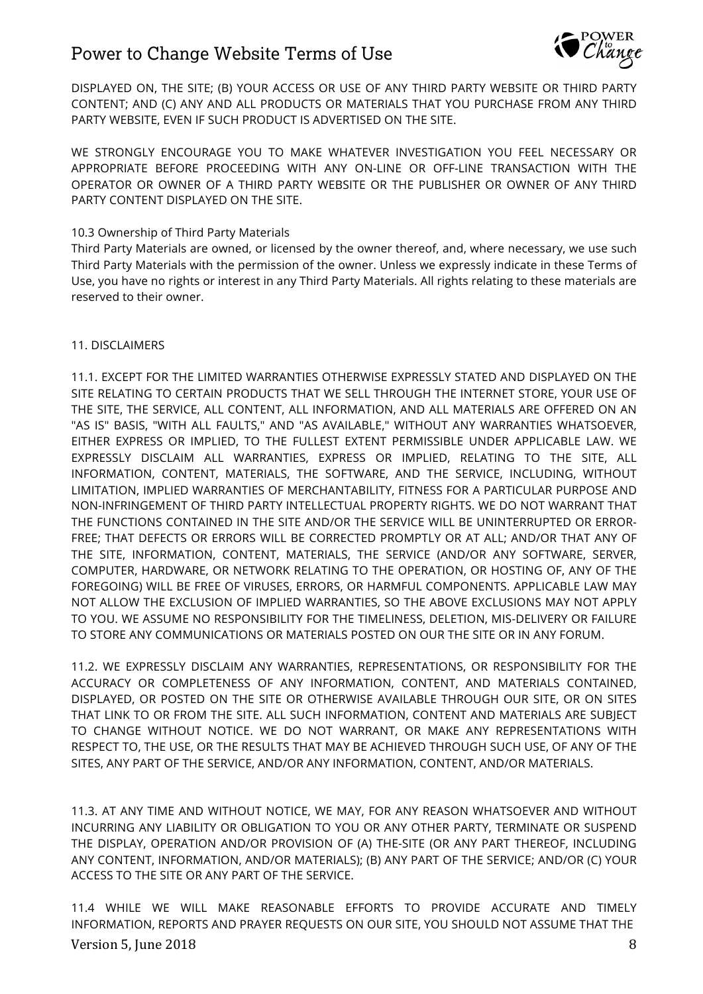

DISPLAYED ON, THE SITE; (B) YOUR ACCESS OR USE OF ANY THIRD PARTY WEBSITE OR THIRD PARTY CONTENT; AND (C) ANY AND ALL PRODUCTS OR MATERIALS THAT YOU PURCHASE FROM ANY THIRD PARTY WEBSITE, EVEN IF SUCH PRODUCT IS ADVERTISED ON THE SITE.

WE STRONGLY ENCOURAGE YOU TO MAKE WHATEVER INVESTIGATION YOU FEEL NECESSARY OR APPROPRIATE BEFORE PROCEEDING WITH ANY ON-LINE OR OFF-LINE TRANSACTION WITH THE OPERATOR OR OWNER OF A THIRD PARTY WEBSITE OR THE PUBLISHER OR OWNER OF ANY THIRD PARTY CONTENT DISPLAYED ON THE SITE.

## 10.3 Ownership of Third Party Materials

Third Party Materials are owned, or licensed by the owner thereof, and, where necessary, we use such Third Party Materials with the permission of the owner. Unless we expressly indicate in these Terms of Use, you have no rights or interest in any Third Party Materials. All rights relating to these materials are reserved to their owner.

## 11. DISCLAIMERS

11.1. EXCEPT FOR THE LIMITED WARRANTIES OTHERWISE EXPRESSLY STATED AND DISPLAYED ON THE SITE RELATING TO CERTAIN PRODUCTS THAT WE SELL THROUGH THE INTERNET STORE, YOUR USE OF THE SITE, THE SERVICE, ALL CONTENT, ALL INFORMATION, AND ALL MATERIALS ARE OFFERED ON AN "AS IS" BASIS, "WITH ALL FAULTS," AND "AS AVAILABLE," WITHOUT ANY WARRANTIES WHATSOEVER, EITHER EXPRESS OR IMPLIED, TO THE FULLEST EXTENT PERMISSIBLE UNDER APPLICABLE LAW. WE EXPRESSLY DISCLAIM ALL WARRANTIES, EXPRESS OR IMPLIED, RELATING TO THE SITE, ALL INFORMATION, CONTENT, MATERIALS, THE SOFTWARE, AND THE SERVICE, INCLUDING, WITHOUT LIMITATION, IMPLIED WARRANTIES OF MERCHANTABILITY, FITNESS FOR A PARTICULAR PURPOSE AND NON-INFRINGEMENT OF THIRD PARTY INTELLECTUAL PROPERTY RIGHTS. WE DO NOT WARRANT THAT THE FUNCTIONS CONTAINED IN THE SITE AND/OR THE SERVICE WILL BE UNINTERRUPTED OR ERROR-FREE; THAT DEFECTS OR ERRORS WILL BE CORRECTED PROMPTLY OR AT ALL; AND/OR THAT ANY OF THE SITE, INFORMATION, CONTENT, MATERIALS, THE SERVICE (AND/OR ANY SOFTWARE, SERVER, COMPUTER, HARDWARE, OR NETWORK RELATING TO THE OPERATION, OR HOSTING OF, ANY OF THE FOREGOING) WILL BE FREE OF VIRUSES, ERRORS, OR HARMFUL COMPONENTS. APPLICABLE LAW MAY NOT ALLOW THE EXCLUSION OF IMPLIED WARRANTIES, SO THE ABOVE EXCLUSIONS MAY NOT APPLY TO YOU. WE ASSUME NO RESPONSIBILITY FOR THE TIMELINESS, DELETION, MIS-DELIVERY OR FAILURE TO STORE ANY COMMUNICATIONS OR MATERIALS POSTED ON OUR THE SITE OR IN ANY FORUM.

11.2. WE EXPRESSLY DISCLAIM ANY WARRANTIES, REPRESENTATIONS, OR RESPONSIBILITY FOR THE ACCURACY OR COMPLETENESS OF ANY INFORMATION, CONTENT, AND MATERIALS CONTAINED, DISPLAYED, OR POSTED ON THE SITE OR OTHERWISE AVAILABLE THROUGH OUR SITE, OR ON SITES THAT LINK TO OR FROM THE SITE. ALL SUCH INFORMATION, CONTENT AND MATERIALS ARE SUBJECT TO CHANGE WITHOUT NOTICE. WE DO NOT WARRANT, OR MAKE ANY REPRESENTATIONS WITH RESPECT TO, THE USE, OR THE RESULTS THAT MAY BE ACHIEVED THROUGH SUCH USE, OF ANY OF THE SITES, ANY PART OF THE SERVICE, AND/OR ANY INFORMATION, CONTENT, AND/OR MATERIALS.

11.3. AT ANY TIME AND WITHOUT NOTICE, WE MAY, FOR ANY REASON WHATSOEVER AND WITHOUT INCURRING ANY LIABILITY OR OBLIGATION TO YOU OR ANY OTHER PARTY, TERMINATE OR SUSPEND THE DISPLAY, OPERATION AND/OR PROVISION OF (A) THE-SITE (OR ANY PART THEREOF, INCLUDING ANY CONTENT, INFORMATION, AND/OR MATERIALS); (B) ANY PART OF THE SERVICE; AND/OR (C) YOUR ACCESS TO THE SITE OR ANY PART OF THE SERVICE.

Version 5, June 2018 8 11.4 WHILE WE WILL MAKE REASONABLE EFFORTS TO PROVIDE ACCURATE AND TIMELY INFORMATION, REPORTS AND PRAYER REQUESTS ON OUR SITE, YOU SHOULD NOT ASSUME THAT THE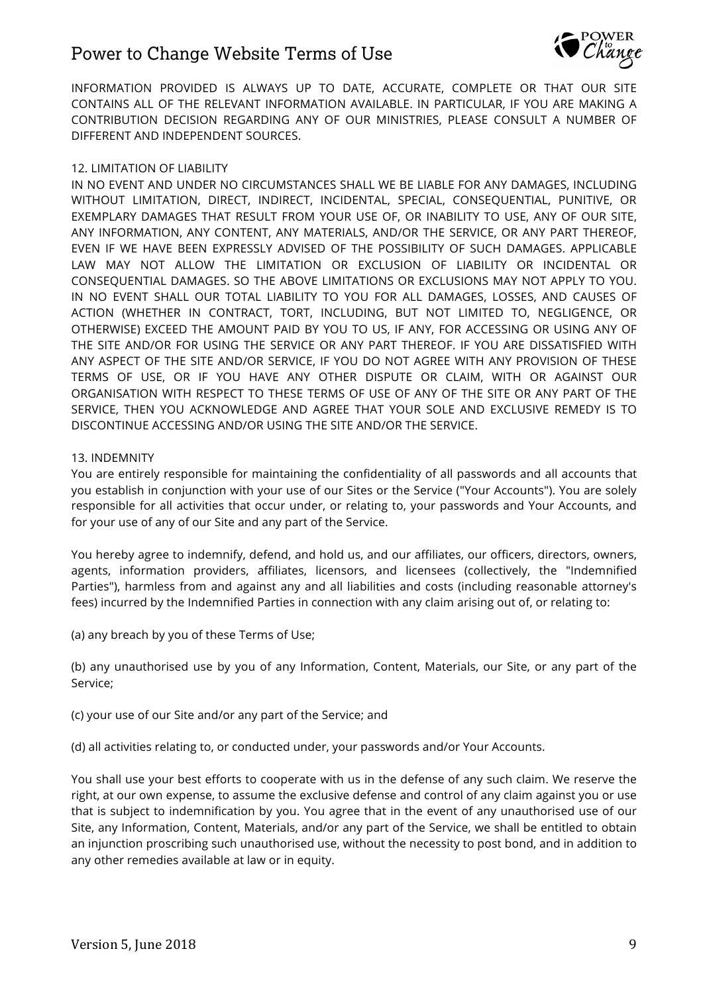

INFORMATION PROVIDED IS ALWAYS UP TO DATE, ACCURATE, COMPLETE OR THAT OUR SITE CONTAINS ALL OF THE RELEVANT INFORMATION AVAILABLE. IN PARTICULAR, IF YOU ARE MAKING A CONTRIBUTION DECISION REGARDING ANY OF OUR MINISTRIES, PLEASE CONSULT A NUMBER OF DIFFERENT AND INDEPENDENT SOURCES.

## 12. LIMITATION OF LIABILITY

IN NO EVENT AND UNDER NO CIRCUMSTANCES SHALL WE BE LIABLE FOR ANY DAMAGES, INCLUDING WITHOUT LIMITATION, DIRECT, INDIRECT, INCIDENTAL, SPECIAL, CONSEQUENTIAL, PUNITIVE, OR EXEMPLARY DAMAGES THAT RESULT FROM YOUR USE OF, OR INABILITY TO USE, ANY OF OUR SITE, ANY INFORMATION, ANY CONTENT, ANY MATERIALS, AND/OR THE SERVICE, OR ANY PART THEREOF, EVEN IF WE HAVE BEEN EXPRESSLY ADVISED OF THE POSSIBILITY OF SUCH DAMAGES. APPLICABLE LAW MAY NOT ALLOW THE LIMITATION OR EXCLUSION OF LIABILITY OR INCIDENTAL OR CONSEQUENTIAL DAMAGES. SO THE ABOVE LIMITATIONS OR EXCLUSIONS MAY NOT APPLY TO YOU. IN NO EVENT SHALL OUR TOTAL LIABILITY TO YOU FOR ALL DAMAGES, LOSSES, AND CAUSES OF ACTION (WHETHER IN CONTRACT, TORT, INCLUDING, BUT NOT LIMITED TO, NEGLIGENCE, OR OTHERWISE) EXCEED THE AMOUNT PAID BY YOU TO US, IF ANY, FOR ACCESSING OR USING ANY OF THE SITE AND/OR FOR USING THE SERVICE OR ANY PART THEREOF. IF YOU ARE DISSATISFIED WITH ANY ASPECT OF THE SITE AND/OR SERVICE, IF YOU DO NOT AGREE WITH ANY PROVISION OF THESE TERMS OF USE, OR IF YOU HAVE ANY OTHER DISPUTE OR CLAIM, WITH OR AGAINST OUR ORGANISATION WITH RESPECT TO THESE TERMS OF USE OF ANY OF THE SITE OR ANY PART OF THE SERVICE, THEN YOU ACKNOWLEDGE AND AGREE THAT YOUR SOLE AND EXCLUSIVE REMEDY IS TO DISCONTINUE ACCESSING AND/OR USING THE SITE AND/OR THE SERVICE.

## 13. INDEMNITY

You are entirely responsible for maintaining the confidentiality of all passwords and all accounts that you establish in conjunction with your use of our Sites or the Service ("Your Accounts"). You are solely responsible for all activities that occur under, or relating to, your passwords and Your Accounts, and for your use of any of our Site and any part of the Service.

You hereby agree to indemnify, defend, and hold us, and our affiliates, our officers, directors, owners, agents, information providers, affiliates, licensors, and licensees (collectively, the "Indemnified Parties"), harmless from and against any and all liabilities and costs (including reasonable attorney's fees) incurred by the Indemnified Parties in connection with any claim arising out of, or relating to:

(a) any breach by you of these Terms of Use;

(b) any unauthorised use by you of any Information, Content, Materials, our Site, or any part of the Service;

(c) your use of our Site and/or any part of the Service; and

(d) all activities relating to, or conducted under, your passwords and/or Your Accounts.

You shall use your best efforts to cooperate with us in the defense of any such claim. We reserve the right, at our own expense, to assume the exclusive defense and control of any claim against you or use that is subject to indemnification by you. You agree that in the event of any unauthorised use of our Site, any Information, Content, Materials, and/or any part of the Service, we shall be entitled to obtain an injunction proscribing such unauthorised use, without the necessity to post bond, and in addition to any other remedies available at law or in equity.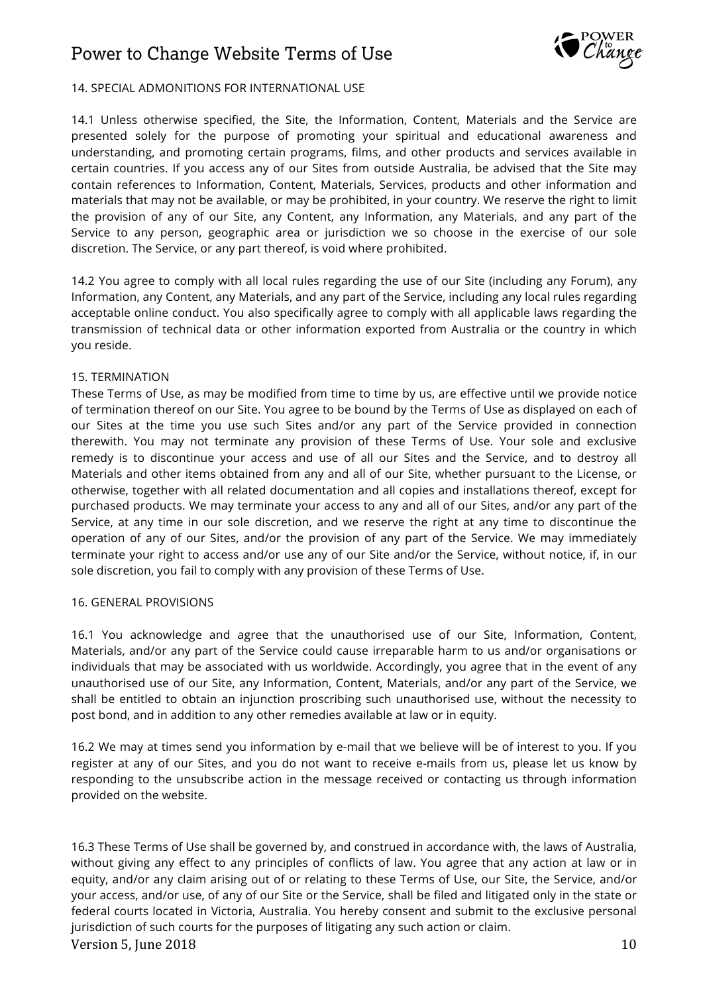

## 14. SPECIAL ADMONITIONS FOR INTERNATIONAL USE

14.1 Unless otherwise specified, the Site, the Information, Content, Materials and the Service are presented solely for the purpose of promoting your spiritual and educational awareness and understanding, and promoting certain programs, films, and other products and services available in certain countries. If you access any of our Sites from outside Australia, be advised that the Site may contain references to Information, Content, Materials, Services, products and other information and materials that may not be available, or may be prohibited, in your country. We reserve the right to limit the provision of any of our Site, any Content, any Information, any Materials, and any part of the Service to any person, geographic area or jurisdiction we so choose in the exercise of our sole discretion. The Service, or any part thereof, is void where prohibited.

14.2 You agree to comply with all local rules regarding the use of our Site (including any Forum), any Information, any Content, any Materials, and any part of the Service, including any local rules regarding acceptable online conduct. You also specifically agree to comply with all applicable laws regarding the transmission of technical data or other information exported from Australia or the country in which you reside.

## 15. TERMINATION

These Terms of Use, as may be modified from time to time by us, are effective until we provide notice of termination thereof on our Site. You agree to be bound by the Terms of Use as displayed on each of our Sites at the time you use such Sites and/or any part of the Service provided in connection therewith. You may not terminate any provision of these Terms of Use. Your sole and exclusive remedy is to discontinue your access and use of all our Sites and the Service, and to destroy all Materials and other items obtained from any and all of our Site, whether pursuant to the License, or otherwise, together with all related documentation and all copies and installations thereof, except for purchased products. We may terminate your access to any and all of our Sites, and/or any part of the Service, at any time in our sole discretion, and we reserve the right at any time to discontinue the operation of any of our Sites, and/or the provision of any part of the Service. We may immediately terminate your right to access and/or use any of our Site and/or the Service, without notice, if, in our sole discretion, you fail to comply with any provision of these Terms of Use.

## 16. GENERAL PROVISIONS

16.1 You acknowledge and agree that the unauthorised use of our Site, Information, Content, Materials, and/or any part of the Service could cause irreparable harm to us and/or organisations or individuals that may be associated with us worldwide. Accordingly, you agree that in the event of any unauthorised use of our Site, any Information, Content, Materials, and/or any part of the Service, we shall be entitled to obtain an injunction proscribing such unauthorised use, without the necessity to post bond, and in addition to any other remedies available at law or in equity.

16.2 We may at times send you information by e-mail that we believe will be of interest to you. If you register at any of our Sites, and you do not want to receive e-mails from us, please let us know by responding to the unsubscribe action in the message received or contacting us through information provided on the website.

Version 5, June 2018 10 16.3 These Terms of Use shall be governed by, and construed in accordance with, the laws of Australia, without giving any effect to any principles of conflicts of law. You agree that any action at law or in equity, and/or any claim arising out of or relating to these Terms of Use, our Site, the Service, and/or your access, and/or use, of any of our Site or the Service, shall be filed and litigated only in the state or federal courts located in Victoria, Australia. You hereby consent and submit to the exclusive personal jurisdiction of such courts for the purposes of litigating any such action or claim.